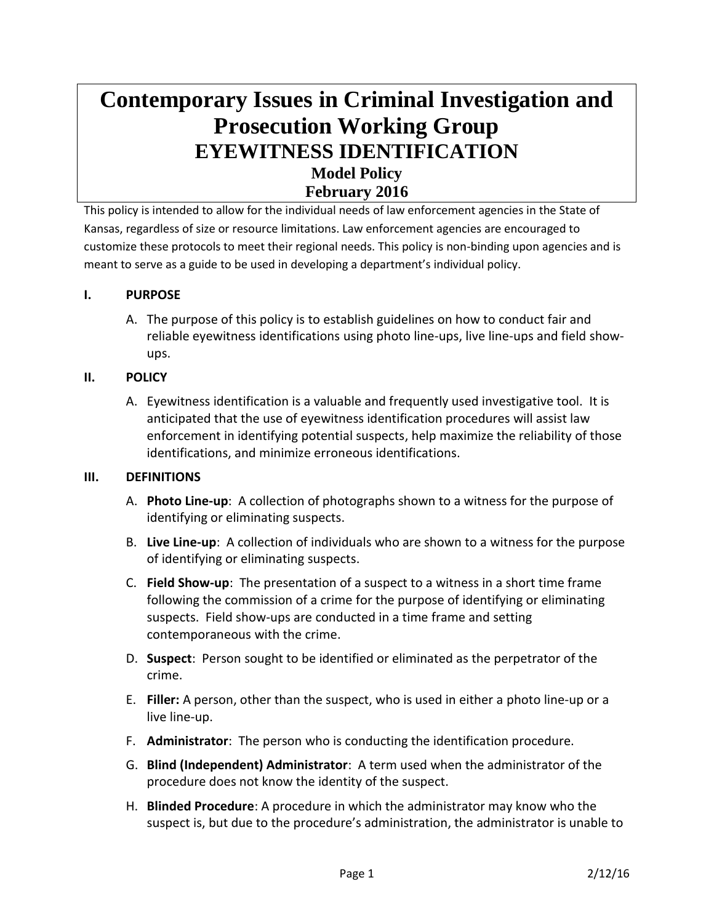# **Contemporary Issues in Criminal Investigation and Prosecution Working Group EYEWITNESS IDENTIFICATION Model Policy February 2016**

This policy is intended to allow for the individual needs of law enforcement agencies in the State of Kansas, regardless of size or resource limitations. Law enforcement agencies are encouraged to customize these protocols to meet their regional needs. This policy is non-binding upon agencies and is meant to serve as a guide to be used in developing a department's individual policy.

## **I. PURPOSE**

A. The purpose of this policy is to establish guidelines on how to conduct fair and reliable eyewitness identifications using photo line-ups, live line-ups and field showups.

#### **II. POLICY**

A. Eyewitness identification is a valuable and frequently used investigative tool. It is anticipated that the use of eyewitness identification procedures will assist law enforcement in identifying potential suspects, help maximize the reliability of those identifications, and minimize erroneous identifications.

#### **III. DEFINITIONS**

- A. **Photo Line-up**: A collection of photographs shown to a witness for the purpose of identifying or eliminating suspects.
- B. **Live Line-up**: A collection of individuals who are shown to a witness for the purpose of identifying or eliminating suspects.
- C. **Field Show-up**: The presentation of a suspect to a witness in a short time frame following the commission of a crime for the purpose of identifying or eliminating suspects. Field show-ups are conducted in a time frame and setting contemporaneous with the crime.
- D. **Suspect**: Person sought to be identified or eliminated as the perpetrator of the crime.
- E. **Filler:** A person, other than the suspect, who is used in either a photo line-up or a live line-up.
- F. **Administrator**: The person who is conducting the identification procedure.
- G. **Blind (Independent) Administrator**: A term used when the administrator of the procedure does not know the identity of the suspect.
- H. **Blinded Procedure**: A procedure in which the administrator may know who the suspect is, but due to the procedure's administration, the administrator is unable to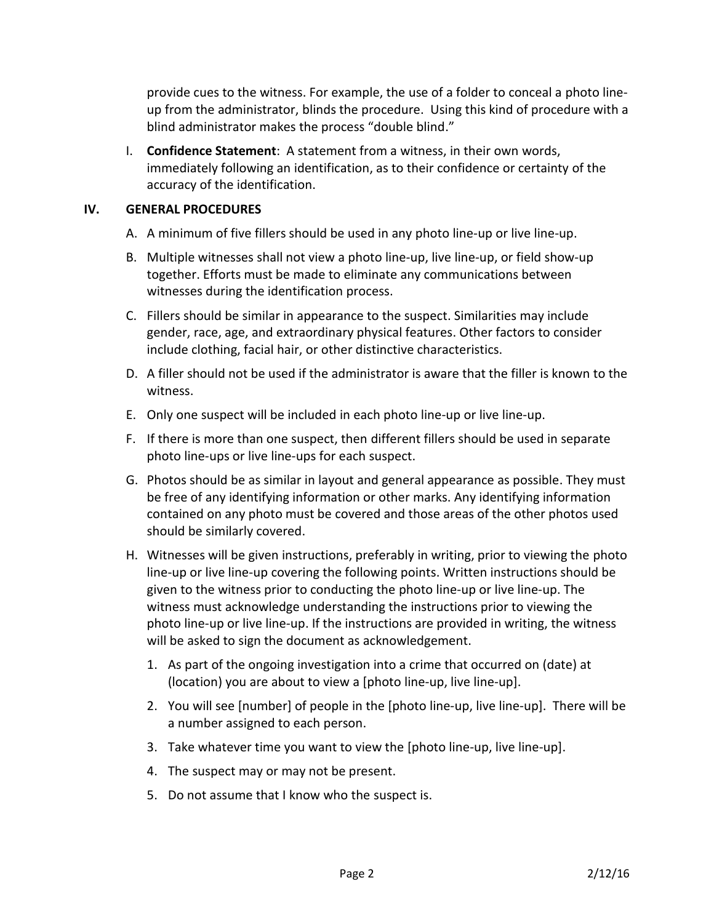provide cues to the witness. For example, the use of a folder to conceal a photo lineup from the administrator, blinds the procedure. Using this kind of procedure with a blind administrator makes the process "double blind."

I. **Confidence Statement**: A statement from a witness, in their own words, immediately following an identification, as to their confidence or certainty of the accuracy of the identification.

## **IV. GENERAL PROCEDURES**

- A. A minimum of five fillers should be used in any photo line-up or live line-up.
- B. Multiple witnesses shall not view a photo line-up, live line-up, or field show-up together. Efforts must be made to eliminate any communications between witnesses during the identification process.
- C. Fillers should be similar in appearance to the suspect. Similarities may include gender, race, age, and extraordinary physical features. Other factors to consider include clothing, facial hair, or other distinctive characteristics.
- D. A filler should not be used if the administrator is aware that the filler is known to the witness.
- E. Only one suspect will be included in each photo line-up or live line-up.
- F. If there is more than one suspect, then different fillers should be used in separate photo line-ups or live line-ups for each suspect.
- G. Photos should be as similar in layout and general appearance as possible. They must be free of any identifying information or other marks. Any identifying information contained on any photo must be covered and those areas of the other photos used should be similarly covered.
- H. Witnesses will be given instructions, preferably in writing, prior to viewing the photo line-up or live line-up covering the following points. Written instructions should be given to the witness prior to conducting the photo line-up or live line-up. The witness must acknowledge understanding the instructions prior to viewing the photo line-up or live line-up. If the instructions are provided in writing, the witness will be asked to sign the document as acknowledgement.
	- 1. As part of the ongoing investigation into a crime that occurred on (date) at (location) you are about to view a [photo line-up, live line-up].
	- 2. You will see [number] of people in the [photo line-up, live line-up]. There will be a number assigned to each person.
	- 3. Take whatever time you want to view the [photo line-up, live line-up].
	- 4. The suspect may or may not be present.
	- 5. Do not assume that I know who the suspect is.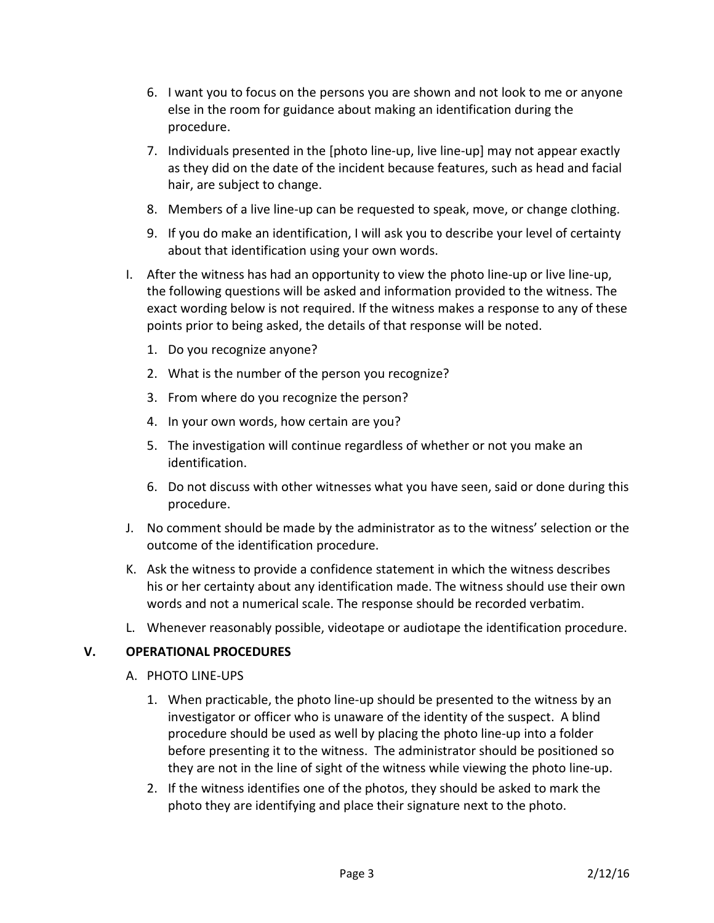- 6. I want you to focus on the persons you are shown and not look to me or anyone else in the room for guidance about making an identification during the procedure.
- 7. Individuals presented in the [photo line-up, live line-up] may not appear exactly as they did on the date of the incident because features, such as head and facial hair, are subject to change.
- 8. Members of a live line-up can be requested to speak, move, or change clothing.
- 9. If you do make an identification, I will ask you to describe your level of certainty about that identification using your own words.
- I. After the witness has had an opportunity to view the photo line-up or live line-up, the following questions will be asked and information provided to the witness. The exact wording below is not required. If the witness makes a response to any of these points prior to being asked, the details of that response will be noted.
	- 1. Do you recognize anyone?
	- 2. What is the number of the person you recognize?
	- 3. From where do you recognize the person?
	- 4. In your own words, how certain are you?
	- 5. The investigation will continue regardless of whether or not you make an identification.
	- 6. Do not discuss with other witnesses what you have seen, said or done during this procedure.
- J. No comment should be made by the administrator as to the witness' selection or the outcome of the identification procedure.
- K. Ask the witness to provide a confidence statement in which the witness describes his or her certainty about any identification made. The witness should use their own words and not a numerical scale. The response should be recorded verbatim.
- L. Whenever reasonably possible, videotape or audiotape the identification procedure.

#### **V. OPERATIONAL PROCEDURES**

- A. PHOTO LINE-UPS
	- 1. When practicable, the photo line-up should be presented to the witness by an investigator or officer who is unaware of the identity of the suspect. A blind procedure should be used as well by placing the photo line-up into a folder before presenting it to the witness. The administrator should be positioned so they are not in the line of sight of the witness while viewing the photo line-up.
	- 2. If the witness identifies one of the photos, they should be asked to mark the photo they are identifying and place their signature next to the photo.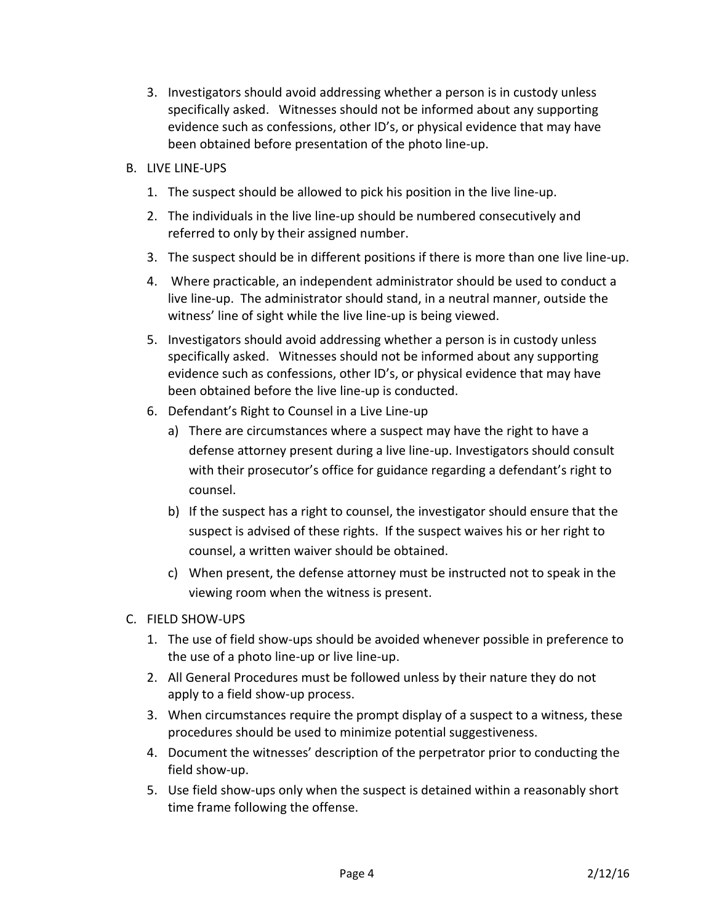- 3. Investigators should avoid addressing whether a person is in custody unless specifically asked. Witnesses should not be informed about any supporting evidence such as confessions, other ID's, or physical evidence that may have been obtained before presentation of the photo line-up.
- B. LIVE LINE-UPS
	- 1. The suspect should be allowed to pick his position in the live line-up.
	- 2. The individuals in the live line-up should be numbered consecutively and referred to only by their assigned number.
	- 3. The suspect should be in different positions if there is more than one live line-up.
	- 4. Where practicable, an independent administrator should be used to conduct a live line-up. The administrator should stand, in a neutral manner, outside the witness' line of sight while the live line-up is being viewed.
	- 5. Investigators should avoid addressing whether a person is in custody unless specifically asked. Witnesses should not be informed about any supporting evidence such as confessions, other ID's, or physical evidence that may have been obtained before the live line-up is conducted.
	- 6. Defendant's Right to Counsel in a Live Line-up
		- a) There are circumstances where a suspect may have the right to have a defense attorney present during a live line-up. Investigators should consult with their prosecutor's office for guidance regarding a defendant's right to counsel.
		- b) If the suspect has a right to counsel, the investigator should ensure that the suspect is advised of these rights. If the suspect waives his or her right to counsel, a written waiver should be obtained.
		- c) When present, the defense attorney must be instructed not to speak in the viewing room when the witness is present.
- C. FIELD SHOW-UPS
	- 1. The use of field show-ups should be avoided whenever possible in preference to the use of a photo line-up or live line-up.
	- 2. All General Procedures must be followed unless by their nature they do not apply to a field show-up process.
	- 3. When circumstances require the prompt display of a suspect to a witness, these procedures should be used to minimize potential suggestiveness.
	- 4. Document the witnesses' description of the perpetrator prior to conducting the field show-up.
	- 5. Use field show-ups only when the suspect is detained within a reasonably short time frame following the offense.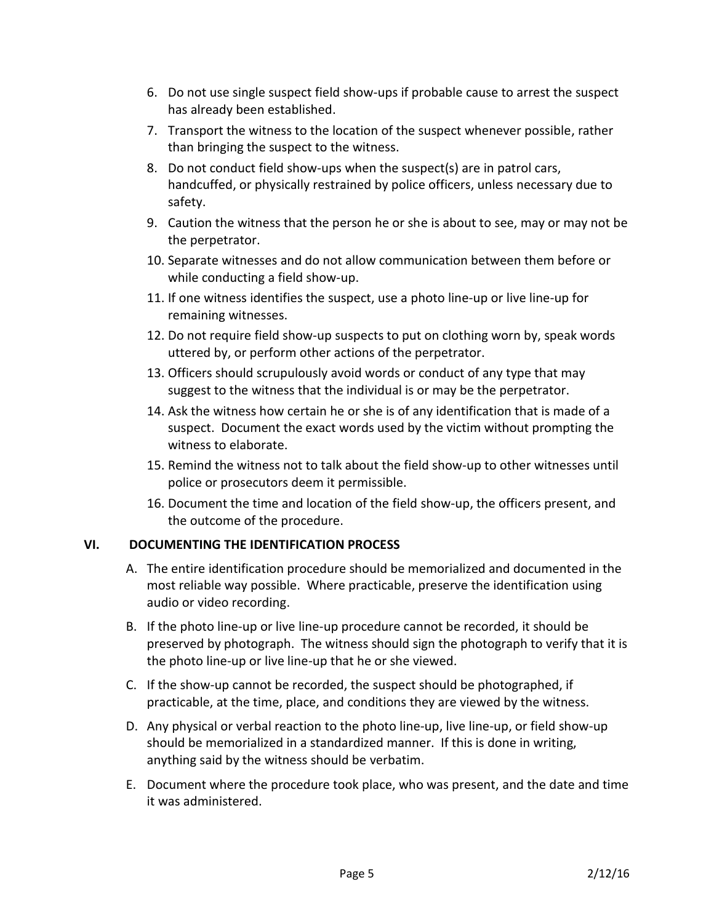- 6. Do not use single suspect field show-ups if probable cause to arrest the suspect has already been established.
- 7. Transport the witness to the location of the suspect whenever possible, rather than bringing the suspect to the witness.
- 8. Do not conduct field show-ups when the suspect(s) are in patrol cars, handcuffed, or physically restrained by police officers, unless necessary due to safety.
- 9. Caution the witness that the person he or she is about to see, may or may not be the perpetrator.
- 10. Separate witnesses and do not allow communication between them before or while conducting a field show-up.
- 11. If one witness identifies the suspect, use a photo line-up or live line-up for remaining witnesses.
- 12. Do not require field show-up suspects to put on clothing worn by, speak words uttered by, or perform other actions of the perpetrator.
- 13. Officers should scrupulously avoid words or conduct of any type that may suggest to the witness that the individual is or may be the perpetrator.
- 14. Ask the witness how certain he or she is of any identification that is made of a suspect. Document the exact words used by the victim without prompting the witness to elaborate.
- 15. Remind the witness not to talk about the field show-up to other witnesses until police or prosecutors deem it permissible.
- 16. Document the time and location of the field show-up, the officers present, and the outcome of the procedure.

# **VI. DOCUMENTING THE IDENTIFICATION PROCESS**

- A. The entire identification procedure should be memorialized and documented in the most reliable way possible. Where practicable, preserve the identification using audio or video recording.
- B. If the photo line-up or live line-up procedure cannot be recorded, it should be preserved by photograph. The witness should sign the photograph to verify that it is the photo line-up or live line-up that he or she viewed.
- C. If the show-up cannot be recorded, the suspect should be photographed, if practicable, at the time, place, and conditions they are viewed by the witness.
- D. Any physical or verbal reaction to the photo line-up, live line-up, or field show-up should be memorialized in a standardized manner. If this is done in writing, anything said by the witness should be verbatim.
- E. Document where the procedure took place, who was present, and the date and time it was administered.